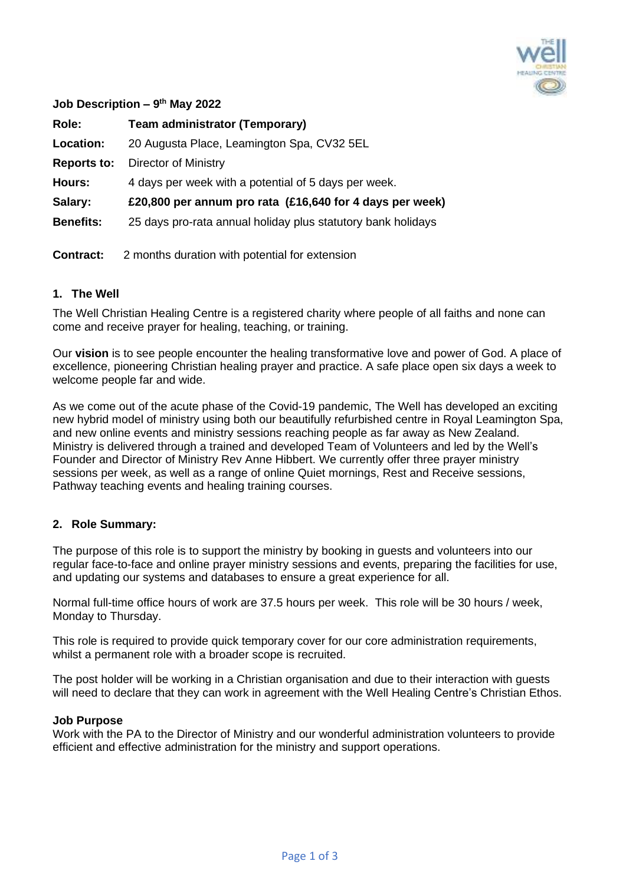

| Job Description $-9$ <sup>th</sup> May 2022 |                                                              |
|---------------------------------------------|--------------------------------------------------------------|
| Role:                                       | <b>Team administrator (Temporary)</b>                        |
| Location:                                   | 20 Augusta Place, Leamington Spa, CV32 5EL                   |
| <b>Reports to:</b>                          | Director of Ministry                                         |
| <b>Hours:</b>                               | 4 days per week with a potential of 5 days per week.         |
| Salary:                                     | £20,800 per annum pro rata (£16,640 for 4 days per week)     |
| <b>Benefits:</b>                            | 25 days pro-rata annual holiday plus statutory bank holidays |
| Contract:                                   | 2 months duration with potential for extension               |
|                                             |                                                              |

## **1. The Well**

The Well Christian Healing Centre is a registered charity where people of all faiths and none can come and receive prayer for healing, teaching, or training.

Our **vision** is to see people encounter the healing transformative love and power of God. A place of excellence, pioneering Christian healing prayer and practice. A safe place open six days a week to welcome people far and wide.

As we come out of the acute phase of the Covid-19 pandemic, The Well has developed an exciting new hybrid model of ministry using both our beautifully refurbished centre in Royal Leamington Spa, and new online events and ministry sessions reaching people as far away as New Zealand. Ministry is delivered through a trained and developed Team of Volunteers and led by the Well's Founder and Director of Ministry Rev Anne Hibbert. We currently offer three prayer ministry sessions per week, as well as a range of online Quiet mornings, Rest and Receive sessions, Pathway teaching events and healing training courses.

## **2. Role Summary:**

The purpose of this role is to support the ministry by booking in guests and volunteers into our regular face-to-face and online prayer ministry sessions and events, preparing the facilities for use, and updating our systems and databases to ensure a great experience for all.

Normal full-time office hours of work are 37.5 hours per week. This role will be 30 hours / week, Monday to Thursday.

This role is required to provide quick temporary cover for our core administration requirements, whilst a permanent role with a broader scope is recruited.

The post holder will be working in a Christian organisation and due to their interaction with guests will need to declare that they can work in agreement with the Well Healing Centre's Christian Ethos.

#### **Job Purpose**

Work with the PA to the Director of Ministry and our wonderful administration volunteers to provide efficient and effective administration for the ministry and support operations.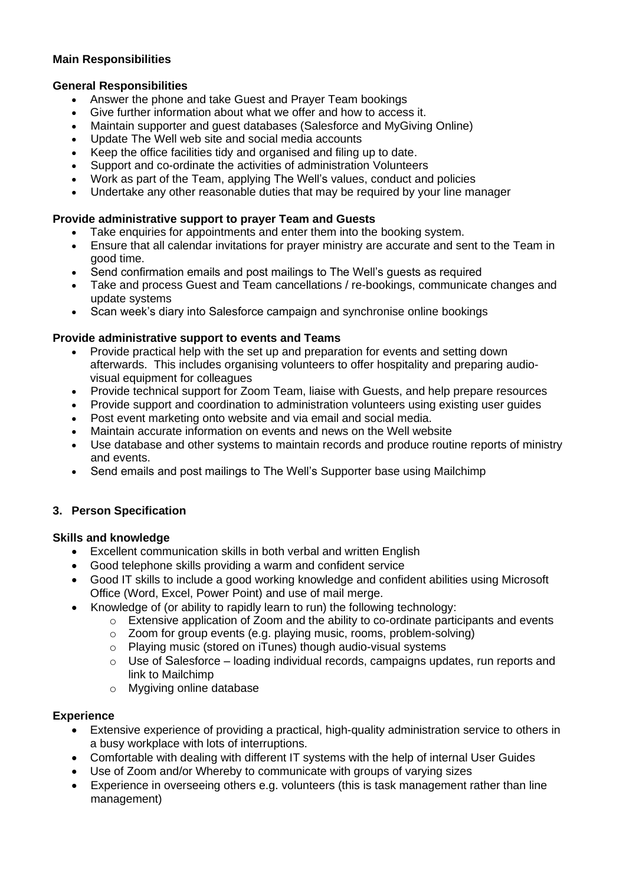# **Main Responsibilities**

## **General Responsibilities**

- Answer the phone and take Guest and Prayer Team bookings
- Give further information about what we offer and how to access it.
- Maintain supporter and guest databases (Salesforce and MyGiving Online)
- Update The Well web site and social media accounts
- Keep the office facilities tidy and organised and filing up to date.
- Support and co-ordinate the activities of administration Volunteers
- Work as part of the Team, applying The Well's values, conduct and policies
- Undertake any other reasonable duties that may be required by your line manager

## **Provide administrative support to prayer Team and Guests**

- Take enquiries for appointments and enter them into the booking system.
- Ensure that all calendar invitations for prayer ministry are accurate and sent to the Team in good time.
- Send confirmation emails and post mailings to The Well's guests as required
- Take and process Guest and Team cancellations / re-bookings, communicate changes and update systems
- Scan week's diary into Salesforce campaign and synchronise online bookings

# **Provide administrative support to events and Teams**

- Provide practical help with the set up and preparation for events and setting down afterwards. This includes organising volunteers to offer hospitality and preparing audiovisual equipment for colleagues
- Provide technical support for Zoom Team, liaise with Guests, and help prepare resources
- Provide support and coordination to administration volunteers using existing user guides
- Post event marketing onto website and via email and social media.
- Maintain accurate information on events and news on the Well website
- Use database and other systems to maintain records and produce routine reports of ministry and events.
- Send emails and post mailings to The Well's Supporter base using Mailchimp

# **3. Person Specification**

## **Skills and knowledge**

- Excellent communication skills in both verbal and written English
- Good telephone skills providing a warm and confident service
- Good IT skills to include a good working knowledge and confident abilities using Microsoft Office (Word, Excel, Power Point) and use of mail merge.
- Knowledge of (or ability to rapidly learn to run) the following technology:
	- $\circ$  Extensive application of Zoom and the ability to co-ordinate participants and events
	- $\circ$  Zoom for group events (e.g. playing music, rooms, problem-solving)
	- o Playing music (stored on iTunes) though audio-visual systems
	- o Use of Salesforce loading individual records, campaigns updates, run reports and link to Mailchimp
	- o Mygiving online database

## **Experience**

- Extensive experience of providing a practical, high-quality administration service to others in a busy workplace with lots of interruptions.
- Comfortable with dealing with different IT systems with the help of internal User Guides
- Use of Zoom and/or Whereby to communicate with groups of varying sizes
- Experience in overseeing others e.g. volunteers (this is task management rather than line management)